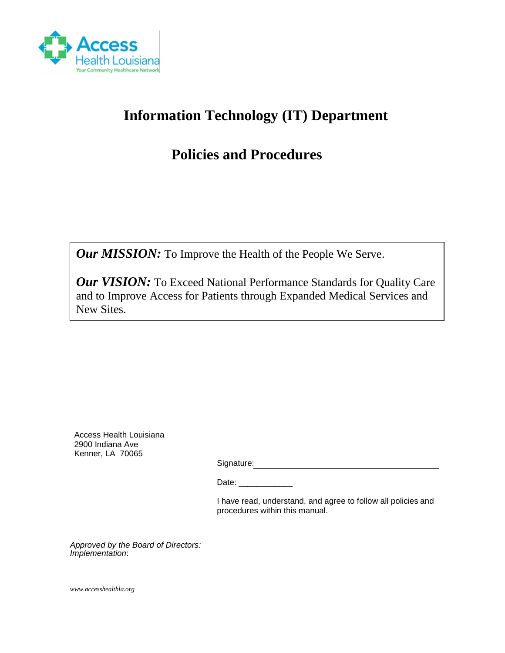

# **Information Technology (IT) Department**

## **Policies and Procedures**

*Our MISSION:* To Improve the Health of the People We Serve.

*Our VISION:* To Exceed National Performance Standards for Quality Care and to Improve Access for Patients through Expanded Medical Services and New Sites.

Access Health Louisiana 2900 Indiana Ave Kenner, LA 70065

Signature: Signature: Signature: Signature: Signature: Signature: Signature: Signature: Signature: Signature: Signature: Signature: Signature: Signature: Signature: Signature: Signature: Signature: Signature: Signature: Si

Date:

I have read, understand, and agree to follow all policies and procedures within this manual.

*Approved by the Board of Directors: Implementation*:

*www.accesshealthla.org*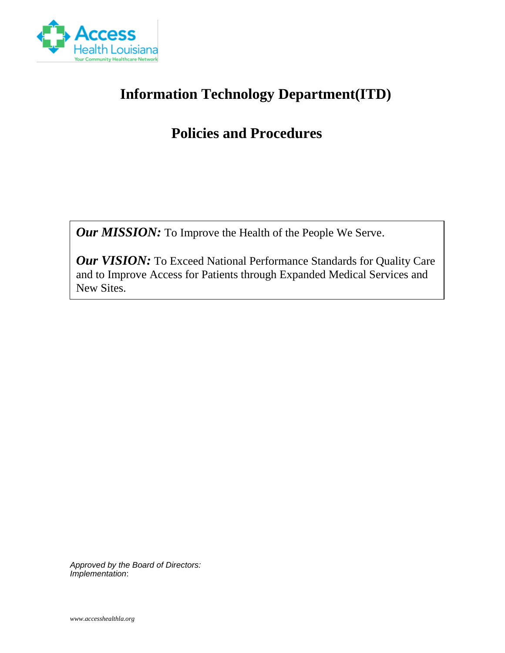

## **Information Technology Department(ITD)**

# **Policies and Procedures**

*Our MISSION:* To Improve the Health of the People We Serve.

**Our VISION:** To Exceed National Performance Standards for Quality Care and to Improve Access for Patients through Expanded Medical Services and New Sites.

*Approved by the Board of Directors: Implementation*: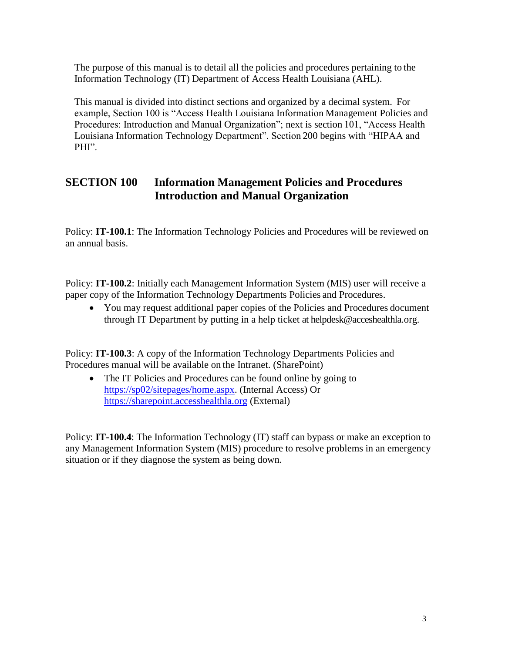The purpose of this manual is to detail all the policies and procedures pertaining to the Information Technology (IT) Department of Access Health Louisiana (AHL).

This manual is divided into distinct sections and organized by a decimal system. For example, Section 100 is "Access Health Louisiana Information Management Policies and Procedures: Introduction and Manual Organization"; next is section 101, "Access Health Louisiana Information Technology Department". Section 200 begins with "HIPAA and PHI".

### **SECTION 100 Information Management Policies and Procedures Introduction and Manual Organization**

Policy: **IT-100.1**: The Information Technology Policies and Procedures will be reviewed on an annual basis.

Policy: **IT-100.2**: Initially each Management Information System (MIS) user will receive a paper copy of the Information Technology Departments Policies and Procedures.

• You may request additional paper copies of the Policies and Procedures document through IT Department by putting in a help ticket at helpdesk@acceshealthla.org.

Policy: **IT-100.3**: A copy of the Information Technology Departments Policies and Procedures manual will be available on the Intranet. (SharePoint)

• The IT Policies and Procedures can be found online by going to [https://sp02/sitepages/home.aspx.](https://sp02/sitepages/home.aspx) (Internal Access) Or [https://sharepoint.accesshealthla.org](https://sharepoint.accesshealthla.org/) (External)

Policy: **IT-100.4**: The Information Technology (IT) staff can bypass or make an exception to any Management Information System (MIS) procedure to resolve problems in an emergency situation or if they diagnose the system as being down.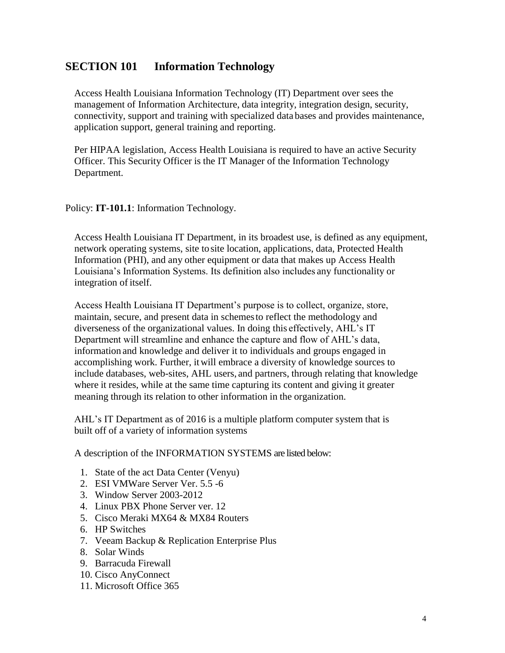#### **SECTION 101 Information Technology**

Access Health Louisiana Information Technology (IT) Department over sees the management of Information Architecture, data integrity, integration design, security, connectivity, support and training with specialized data bases and provides maintenance, application support, general training and reporting.

Per HIPAA legislation, Access Health Louisiana is required to have an active Security Officer. This Security Officer is the IT Manager of the Information Technology Department.

Policy: **IT-101.1**: Information Technology.

Access Health Louisiana IT Department, in its broadest use, is defined as any equipment, network operating systems, site tosite location, applications, data, Protected Health Information (PHI), and any other equipment or data that makes up Access Health Louisiana's Information Systems. Its definition also includes any functionality or integration of itself.

Access Health Louisiana IT Department's purpose is to collect, organize, store, maintain, secure, and present data in schemesto reflect the methodology and diverseness of the organizational values. In doing this effectively, AHL's IT Department will streamline and enhance the capture and flow of AHL's data, information and knowledge and deliver it to individuals and groups engaged in accomplishing work. Further, itwill embrace a diversity of knowledge sources to include databases, web-sites, AHL users, and partners, through relating that knowledge where it resides, while at the same time capturing its content and giving it greater meaning through its relation to other information in the organization.

AHL's IT Department as of 2016 is a multiple platform computer system that is built off of a variety of information systems

A description of the INFORMATION SYSTEMS are listed below:

- 1. State of the act Data Center (Venyu)
- 2. ESI VMWare Server Ver. 5.5 -6
- 3. Window Server 2003-2012
- 4. Linux PBX Phone Server ver. 12
- 5. Cisco Meraki MX64 & MX84 Routers
- 6. HP Switches
- 7. Veeam Backup & Replication Enterprise Plus
- 8. Solar Winds
- 9. Barracuda Firewall
- 10. Cisco AnyConnect
- 11. Microsoft Office 365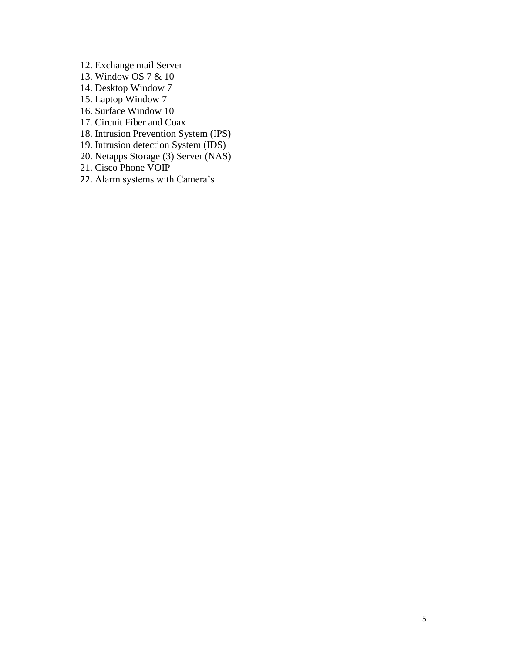- 12. Exchange mail Server
- 13. Window OS 7 & 10
- 14. Desktop Window 7
- 15. Laptop Window 7
- 16. Surface Window 10
- 17. Circuit Fiber and Coax
- 18. Intrusion Prevention System (IPS)
- 19. Intrusion detection System (IDS)
- 20. Netapps Storage (3) Server (NAS)
- 21. Cisco Phone VOIP
- 22. Alarm systems with Camera's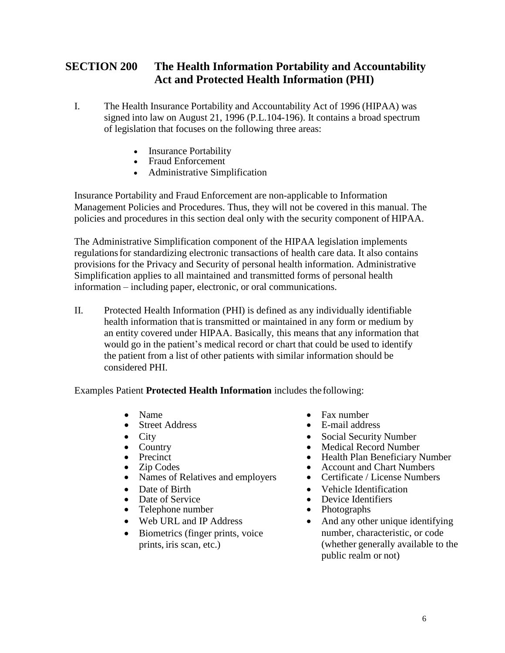## **SECTION 200 The Health Information Portability and Accountability Act and Protected Health Information (PHI)**

- I. The Health Insurance Portability and Accountability Act of 1996 (HIPAA) was signed into law on August 21, 1996 (P.L.104-196). It contains a broad spectrum of legislation that focuses on the following three areas:
	- **Insurance Portability**
	- Fraud Enforcement
	- Administrative Simplification

Insurance Portability and Fraud Enforcement are non-applicable to Information Management Policies and Procedures. Thus, they will not be covered in this manual. The policies and procedures in this section deal only with the security component of HIPAA.

The Administrative Simplification component of the HIPAA legislation implements regulations for standardizing electronic transactions of health care data. It also contains provisions for the Privacy and Security of personal health information. Administrative Simplification applies to all maintained and transmitted forms of personal health information – including paper, electronic, or oral communications.

II. Protected Health Information (PHI) is defined as any individually identifiable health information thatis transmitted or maintained in any form or medium by an entity covered under HIPAA. Basically, this means that any information that would go in the patient's medical record or chart that could be used to identify the patient from a list of other patients with similar information should be considered PHI.

Examples Patient **Protected Health Information** includes the following:

- Name
- **Street Address**
- City
- Country
- Precinct
- Zip Codes
- Names of Relatives and employers
- Date of Birth
- Date of Service
- Telephone number
- Web URL and IP Address
- Biometrics (finger prints, voice prints, iris scan, etc.)
- Fax number
- E-mail address
- Social Security Number
- Medical Record Number
- Health Plan Beneficiary Number
- Account and Chart Numbers
- Certificate / License Numbers
- Vehicle Identification
- Device Identifiers
- Photographs
- And any other unique identifying number, characteristic, or code (whether generally available to the public realm or not)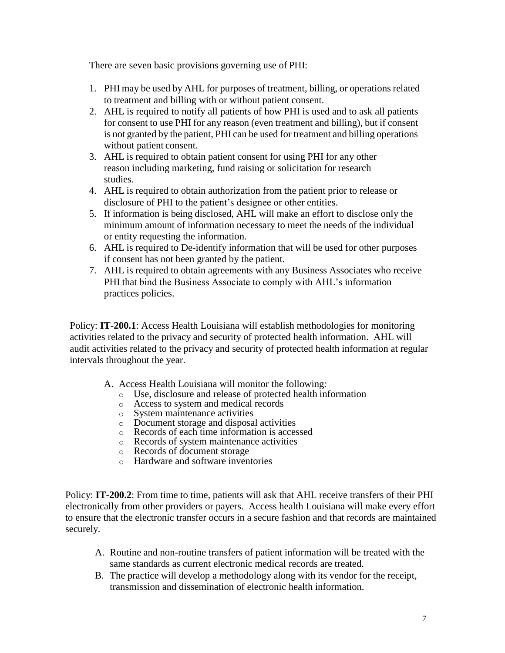There are seven basic provisions governing use of PHI:

- 1. PHI may be used by AHL for purposes of treatment, billing, or operations related to treatment and billing with or without patient consent.
- 2. AHL is required to notify all patients of how PHI is used and to ask all patients for consent to use PHI for any reason (even treatment and billing), but if consent is not granted by the patient, PHI can be used for treatment and billing operations without patient consent.
- 3. AHL is required to obtain patient consent for using PHI for any other reason including marketing, fund raising or solicitation for research studies.
- 4. AHL is required to obtain authorization from the patient prior to release or disclosure of PHI to the patient's designee or other entities.
- 5. If information is being disclosed, AHL will make an effort to disclose only the minimum amount of information necessary to meet the needs of the individual or entity requesting the information.
- 6. AHL is required to De-identify information that will be used for other purposes if consent has not been granted by the patient.
- 7. AHL is required to obtain agreements with any Business Associates who receive PHI that bind the Business Associate to comply with AHL's information practices policies.

Policy: **IT-200.1**: Access Health Louisiana will establish methodologies for monitoring activities related to the privacy and security of protected health information. AHL will audit activities related to the privacy and security of protected health information at regular intervals throughout the year.

- A. Access Health Louisiana will monitor the following:
	- o Use, disclosure and release of protected health information
	- o Access to system and medical records
	- o System maintenance activities
	- o Document storage and disposal activities
	- o Records of each time information is accessed
	- o Records of system maintenance activities
	- o Records of document storage
	- o Hardware and software inventories

Policy: **IT-200.2**: From time to time, patients will ask that AHL receive transfers of their PHI electronically from other providers or payers. Access health Louisiana will make every effort to ensure that the electronic transfer occurs in a secure fashion and that records are maintained securely.

- A. Routine and non-routine transfers of patient information will be treated with the same standards as current electronic medical records are treated.
- B. The practice will develop a methodology along with its vendor for the receipt, transmission and dissemination of electronic health information.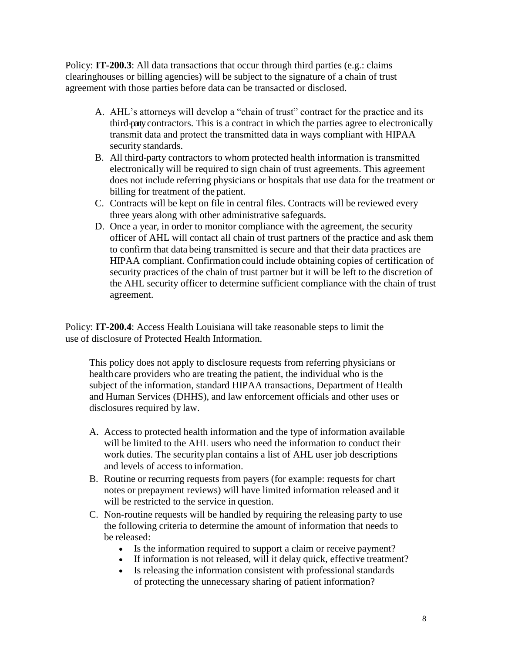Policy: **IT-200.3**: All data transactions that occur through third parties (e.g.: claims) clearinghouses or billing agencies) will be subject to the signature of a chain of trust agreement with those parties before data can be transacted or disclosed.

- A. AHL's attorneys will develop a "chain of trust" contract for the practice and its third-partycontractors. This is a contract in which the parties agree to electronically transmit data and protect the transmitted data in ways compliant with HIPAA security standards.
- B. All third-party contractors to whom protected health information is transmitted electronically will be required to sign chain of trust agreements. This agreement does not include referring physicians or hospitals that use data for the treatment or billing for treatment of the patient.
- C. Contracts will be kept on file in central files. Contracts will be reviewed every three years along with other administrative safeguards.
- D. Once a year, in order to monitor compliance with the agreement, the security officer of AHL will contact all chain of trust partners of the practice and ask them to confirm that data being transmitted is secure and that their data practices are HIPAA compliant. Confirmation could include obtaining copies of certification of security practices of the chain of trust partner but it will be left to the discretion of the AHL security officer to determine sufficient compliance with the chain of trust agreement.

Policy: **IT-200.4**: Access Health Louisiana will take reasonable steps to limit the use of disclosure of Protected Health Information.

This policy does not apply to disclosure requests from referring physicians or healthcare providers who are treating the patient, the individual who is the subject of the information, standard HIPAA transactions, Department of Health and Human Services (DHHS), and law enforcement officials and other uses or disclosures required by law.

- A. Access to protected health information and the type of information available will be limited to the AHL users who need the information to conduct their work duties. The securityplan contains a list of AHL user job descriptions and levels of access to information.
- B. Routine or recurring requests from payers (for example: requests for chart notes or prepayment reviews) will have limited information released and it will be restricted to the service in question.
- C. Non-routine requests will be handled by requiring the releasing party to use the following criteria to determine the amount of information that needs to be released:
	- Is the information required to support a claim or receive payment?
	- If information is not released, will it delay quick, effective treatment?
	- Is releasing the information consistent with professional standards of protecting the unnecessary sharing of patient information?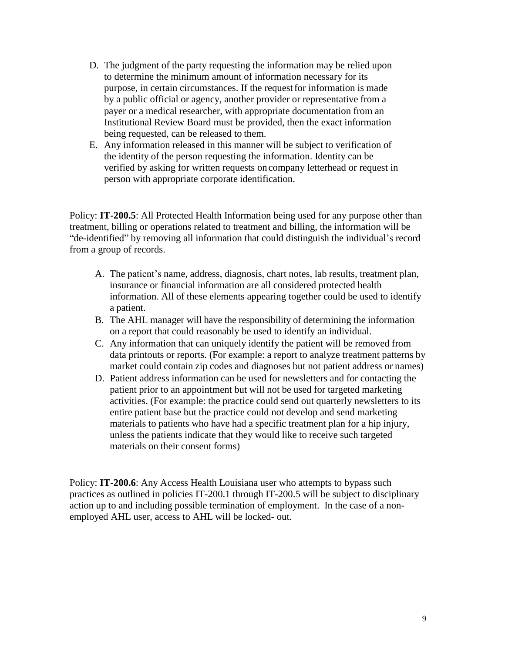- D. The judgment of the party requesting the information may be relied upon to determine the minimum amount of information necessary for its purpose, in certain circumstances. If the requestfor information is made by a public official or agency, another provider or representative from a payer or a medical researcher, with appropriate documentation from an Institutional Review Board must be provided, then the exact information being requested, can be released to them.
- E. Any information released in this manner will be subject to verification of the identity of the person requesting the information. Identity can be verified by asking for written requests on company letterhead or request in person with appropriate corporate identification.

Policy: **IT-200.5**: All Protected Health Information being used for any purpose other than treatment, billing or operations related to treatment and billing, the information will be "de-identified" by removing all information that could distinguish the individual's record from a group of records.

- A. The patient's name, address, diagnosis, chart notes, lab results, treatment plan, insurance or financial information are all considered protected health information. All of these elements appearing together could be used to identify a patient.
- B. The AHL manager will have the responsibility of determining the information on a report that could reasonably be used to identify an individual.
- C. Any information that can uniquely identify the patient will be removed from data printouts or reports. (For example: a report to analyze treatment patterns by market could contain zip codes and diagnoses but not patient address or names)
- D. Patient address information can be used for newsletters and for contacting the patient prior to an appointment but will not be used for targeted marketing activities. (For example: the practice could send out quarterly newsletters to its entire patient base but the practice could not develop and send marketing materials to patients who have had a specific treatment plan for a hip injury, unless the patients indicate that they would like to receive such targeted materials on their consent forms)

Policy: **IT-200.6**: Any Access Health Louisiana user who attempts to bypass such practices as outlined in policies IT-200.1 through IT-200.5 will be subject to disciplinary action up to and including possible termination of employment. In the case of a nonemployed AHL user, access to AHL will be locked- out.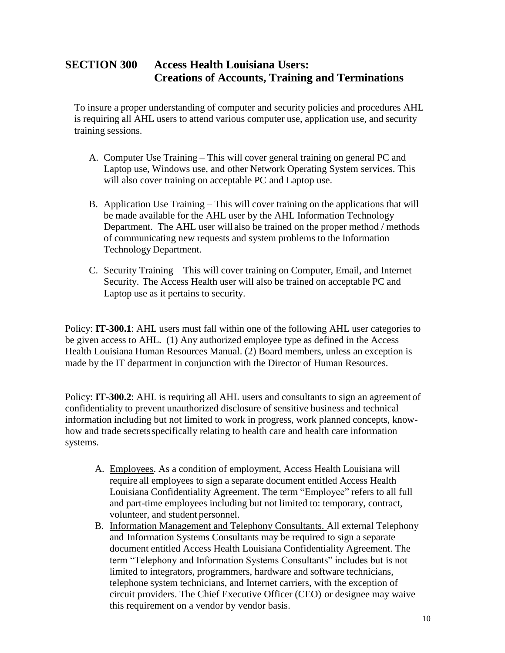### **SECTION 300 Access Health Louisiana Users: Creations of Accounts, Training and Terminations**

To insure a proper understanding of computer and security policies and procedures AHL is requiring all AHL users to attend various computer use, application use, and security training sessions.

- A. Computer Use Training This will cover general training on general PC and Laptop use, Windows use, and other Network Operating System services. This will also cover training on acceptable PC and Laptop use.
- B. Application Use Training This will cover training on the applications that will be made available for the AHL user by the AHL Information Technology Department. The AHL user will also be trained on the proper method / methods of communicating new requests and system problems to the Information Technology Department.
- C. Security Training This will cover training on Computer, Email, and Internet Security. The Access Health user will also be trained on acceptable PC and Laptop use as it pertains to security.

Policy: **IT-300.1**: AHL users must fall within one of the following AHL user categories to be given access to AHL. (1) Any authorized employee type as defined in the Access Health Louisiana Human Resources Manual. (2) Board members, unless an exception is made by the IT department in conjunction with the Director of Human Resources.

Policy: **IT-300.2**: AHL is requiring all AHL users and consultants to sign an agreement of confidentiality to prevent unauthorized disclosure of sensitive business and technical information including but not limited to work in progress, work planned concepts, knowhow and trade secrets specifically relating to health care and health care information systems.

- A. Employees. As a condition of employment, Access Health Louisiana will require all employees to sign a separate document entitled Access Health Louisiana Confidentiality Agreement. The term "Employee" refers to all full and part-time employees including but not limited to: temporary, contract, volunteer, and student personnel.
- B. Information Management and Telephony Consultants. All external Telephony and Information Systems Consultants may be required to sign a separate document entitled Access Health Louisiana Confidentiality Agreement. The term "Telephony and Information Systems Consultants" includes but is not limited to integrators, programmers, hardware and software technicians, telephone system technicians, and Internet carriers, with the exception of circuit providers. The Chief Executive Officer (CEO) or designee may waive this requirement on a vendor by vendor basis.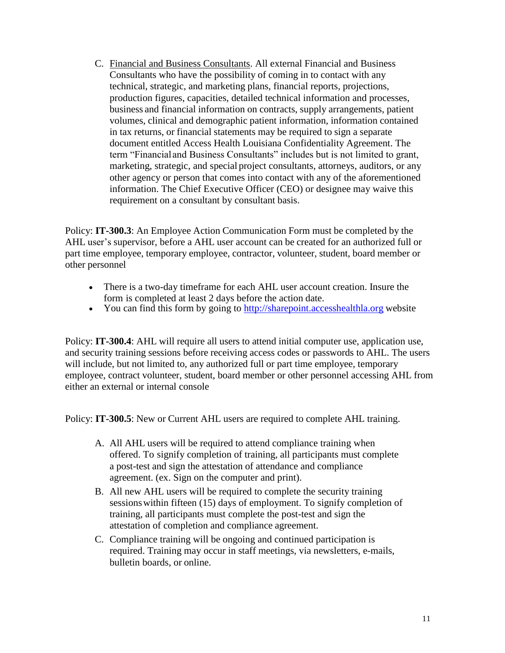C. Financial and Business Consultants. All external Financial and Business Consultants who have the possibility of coming in to contact with any technical, strategic, and marketing plans, financial reports, projections, production figures, capacities, detailed technical information and processes, business and financial information on contracts, supply arrangements, patient volumes, clinical and demographic patient information, information contained in tax returns, or financial statements may be required to sign a separate document entitled Access Health Louisiana Confidentiality Agreement. The term "Financial and Business Consultants" includes but is not limited to grant, marketing, strategic, and special project consultants, attorneys, auditors, or any other agency or person that comes into contact with any of the aforementioned information. The Chief Executive Officer (CEO) or designee may waive this requirement on a consultant by consultant basis.

Policy: **IT-300.3**: An Employee Action Communication Form must be completed by the AHL user's supervisor, before a AHL user account can be created for an authorized full or part time employee, temporary employee, contractor, volunteer, student, board member or other personnel

- There is a two-day timeframe for each AHL user account creation. Insure the form is completed at least 2 days before the action date.
- You can find this form by going to [http://sharepoint.accesshealthla.org](http://sharepoint.accesshealthla.org/) website

Policy: **IT-300.4**: AHL will require all users to attend initial computer use, application use, and security training sessions before receiving access codes or passwords to AHL. The users will include, but not limited to, any authorized full or part time employee, temporary employee, contract volunteer, student, board member or other personnel accessing AHL from either an external or internal console

Policy: **IT-300.5**: New or Current AHL users are required to complete AHL training.

- A. All AHL users will be required to attend compliance training when offered. To signify completion of training, all participants must complete a post-test and sign the attestation of attendance and compliance agreement. (ex. Sign on the computer and print).
- B. All new AHL users will be required to complete the security training sessionswithin fifteen (15) days of employment. To signify completion of training, all participants must complete the post-test and sign the attestation of completion and compliance agreement.
- C. Compliance training will be ongoing and continued participation is required. Training may occur in staff meetings, via newsletters, e-mails, bulletin boards, or online.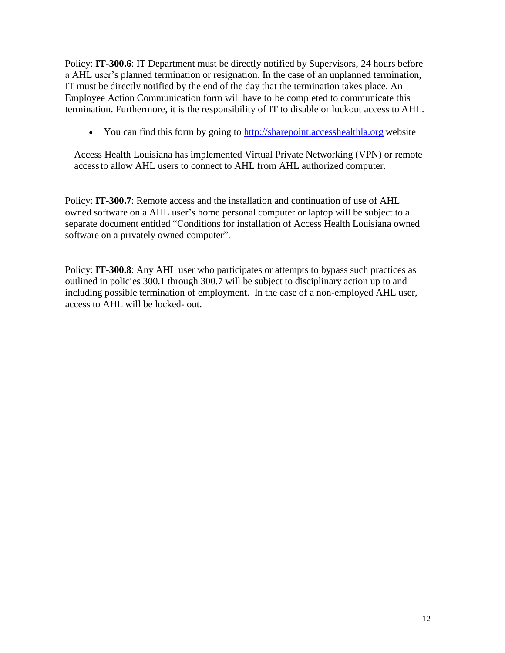Policy: **IT-300.6**: IT Department must be directly notified by Supervisors, 24 hours before a AHL user's planned termination or resignation. In the case of an unplanned termination, IT must be directly notified by the end of the day that the termination takes place. An Employee Action Communication form will have to be completed to communicate this termination. Furthermore, it is the responsibility of IT to disable or lockout access to AHL.

• You can find this form by going to [http://sharepoint.accesshealthla.org](http://sharepoint.accesshealthla.org/) website

Access Health Louisiana has implemented Virtual Private Networking (VPN) or remote accessto allow AHL users to connect to AHL from AHL authorized computer.

Policy: **IT-300.7**: Remote access and the installation and continuation of use of AHL owned software on a AHL user's home personal computer or laptop will be subject to a separate document entitled "Conditions for installation of Access Health Louisiana owned software on a privately owned computer".

Policy: **IT-300.8**: Any AHL user who participates or attempts to bypass such practices as outlined in policies 300.1 through 300.7 will be subject to disciplinary action up to and including possible termination of employment. In the case of a non-employed AHL user, access to AHL will be locked- out.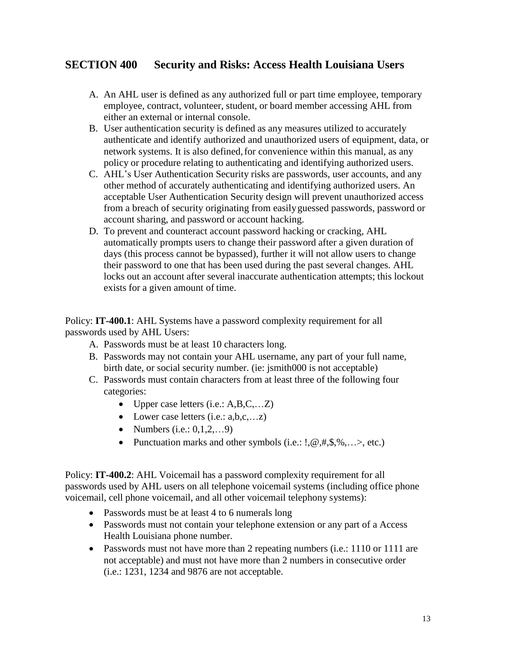### **SECTION 400 Security and Risks: Access Health Louisiana Users**

- A. An AHL user is defined as any authorized full or part time employee, temporary employee, contract, volunteer, student, or board member accessing AHL from either an external or internal console.
- B. User authentication security is defined as any measures utilized to accurately authenticate and identify authorized and unauthorized users of equipment, data, or network systems. It is also defined, for convenience within this manual, as any policy or procedure relating to authenticating and identifying authorized users.
- C. AHL's User Authentication Security risks are passwords, user accounts, and any other method of accurately authenticating and identifying authorized users. An acceptable User Authentication Security design will prevent unauthorized access from a breach of security originating from easilyguessed passwords, password or account sharing, and password or account hacking.
- D. To prevent and counteract account password hacking or cracking, AHL automatically prompts users to change their password after a given duration of days (this process cannot be bypassed), further it will not allow users to change their password to one that has been used during the past several changes. AHL locks out an account after several inaccurate authentication attempts; this lockout exists for a given amount of time.

Policy: **IT-400.1**: AHL Systems have a password complexity requirement for all passwords used by AHL Users:

- A. Passwords must be at least 10 characters long.
- B. Passwords may not contain your AHL username, any part of your full name, birth date, or social security number. (ie: jsmith000 is not acceptable)
- C. Passwords must contain characters from at least three of the following four categories:
	- Upper case letters  $(i.e.: A, B, C, \ldots, Z)$
	- Lower case letters  $(i.e.: a,b,c,...z)$
	- Numbers (i.e.:  $0, 1, 2, \ldots, 9$ )
	- Punctuation marks and other symbols  $(i.e.: \, l, \mathcal{Q}, \#, \mathcal{S}, \mathcal{W}, \ldots)$ , etc.)

Policy: **IT-400.2**: AHL Voicemail has a password complexity requirement for all passwords used by AHL users on all telephone voicemail systems (including office phone voicemail, cell phone voicemail, and all other voicemail telephony systems):

- Passwords must be at least 4 to 6 numerals long
- Passwords must not contain your telephone extension or any part of a Access Health Louisiana phone number.
- Passwords must not have more than 2 repeating numbers (i.e.: 1110 or 1111 are not acceptable) and must not have more than 2 numbers in consecutive order (i.e.: 1231, 1234 and 9876 are not acceptable.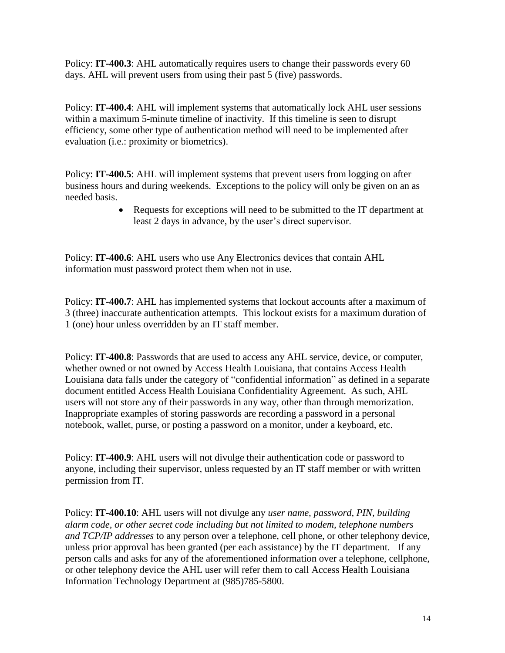Policy: **IT-400.3**: AHL automatically requires users to change their passwords every 60 days. AHL will prevent users from using their past 5 (five) passwords.

Policy: **IT-400.4**: AHL will implement systems that automatically lock AHL user sessions within a maximum 5-minute timeline of inactivity. If this timeline is seen to disrupt efficiency, some other type of authentication method will need to be implemented after evaluation (i.e.: proximity or biometrics).

Policy: **IT-400.5**: AHL will implement systems that prevent users from logging on after business hours and during weekends. Exceptions to the policy will only be given on an as needed basis.

> • Requests for exceptions will need to be submitted to the IT department at least 2 days in advance, by the user's direct supervisor.

Policy: **IT-400.6**: AHL users who use Any Electronics devices that contain AHL information must password protect them when not in use.

Policy: **IT-400.7**: AHL has implemented systems that lockout accounts after a maximum of 3 (three) inaccurate authentication attempts. This lockout exists for a maximum duration of 1 (one) hour unless overridden by an IT staff member.

Policy: **IT-400.8**: Passwords that are used to access any AHL service, device, or computer, whether owned or not owned by Access Health Louisiana, that contains Access Health Louisiana data falls under the category of "confidential information" as defined in a separate document entitled Access Health Louisiana Confidentiality Agreement. As such, AHL users will not store any of their passwords in any way, other than through memorization. Inappropriate examples of storing passwords are recording a password in a personal notebook, wallet, purse, or posting a password on a monitor, under a keyboard, etc.

Policy: **IT-400.9**: AHL users will not divulge their authentication code or password to anyone, including their supervisor, unless requested by an IT staff member or with written permission from IT.

Policy: **IT-400.10**: AHL users will not divulge any *user name, password, PIN, building alarm code, or other secret code including but not limited to modem, telephone numbers and TCP/IP addresses* to any person over a telephone, cell phone, or other telephony device, unless prior approval has been granted (per each assistance) by the IT department. If any person calls and asks for any of the aforementioned information over a telephone, cellphone, or other telephony device the AHL user will refer them to call Access Health Louisiana Information Technology Department at (985)785-5800.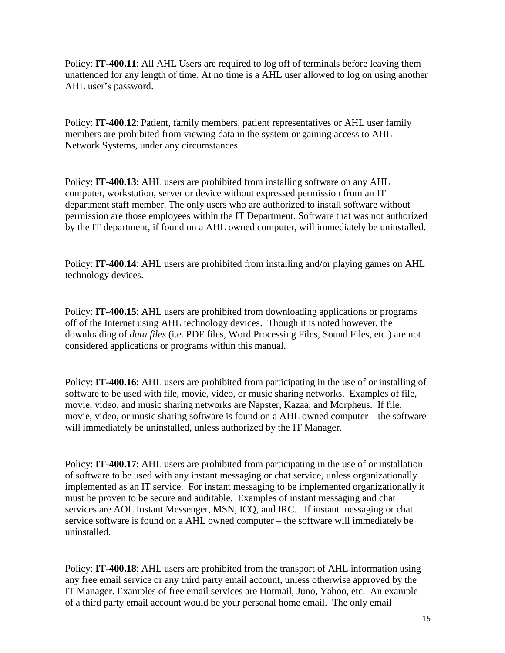Policy: **IT-400.11**: All AHL Users are required to log off of terminals before leaving them unattended for any length of time. At no time is a AHL user allowed to log on using another AHL user's password.

Policy: **IT-400.12**: Patient, family members, patient representatives or AHL user family members are prohibited from viewing data in the system or gaining access to AHL Network Systems, under any circumstances.

Policy: **IT-400.13**: AHL users are prohibited from installing software on any AHL computer, workstation, server or device without expressed permission from an IT department staff member. The only users who are authorized to install software without permission are those employees within the IT Department. Software that was not authorized by the IT department, if found on a AHL owned computer, will immediately be uninstalled.

Policy: **IT-400.14**: AHL users are prohibited from installing and/or playing games on AHL technology devices.

Policy: **IT-400.15**: AHL users are prohibited from downloading applications or programs off of the Internet using AHL technology devices. Though it is noted however, the downloading of *data files* (i.e. PDF files, Word Processing Files, Sound Files, etc.) are not considered applications or programs within this manual.

Policy: **IT-400.16**: AHL users are prohibited from participating in the use of or installing of software to be used with file, movie, video, or music sharing networks. Examples of file, movie, video, and music sharing networks are Napster, Kazaa, and Morpheus. If file, movie, video, or music sharing software is found on a AHL owned computer – the software will immediately be uninstalled, unless authorized by the IT Manager.

Policy: **IT-400.17**: AHL users are prohibited from participating in the use of or installation of software to be used with any instant messaging or chat service, unless organizationally implemented as an IT service. For instant messaging to be implemented organizationally it must be proven to be secure and auditable. Examples of instant messaging and chat services are AOL Instant Messenger, MSN, ICQ, and IRC. If instant messaging or chat service software is found on a AHL owned computer – the software will immediately be uninstalled.

Policy: **IT-400.18**: AHL users are prohibited from the transport of AHL information using any free email service or any third party email account, unless otherwise approved by the IT Manager. Examples of free email services are Hotmail, Juno, Yahoo, etc. An example of a third party email account would be your personal home email. The only email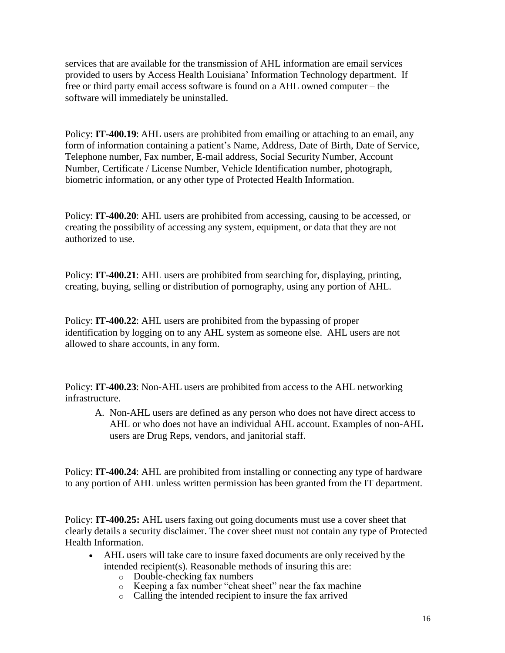services that are available for the transmission of AHL information are email services provided to users by Access Health Louisiana' Information Technology department. If free or third party email access software is found on a AHL owned computer – the software will immediately be uninstalled.

Policy: **IT-400.19**: AHL users are prohibited from emailing or attaching to an email, any form of information containing a patient's Name, Address, Date of Birth, Date of Service, Telephone number, Fax number, E-mail address, Social Security Number, Account Number, Certificate / License Number, Vehicle Identification number, photograph, biometric information, or any other type of Protected Health Information.

Policy: **IT-400.20**: AHL users are prohibited from accessing, causing to be accessed, or creating the possibility of accessing any system, equipment, or data that they are not authorized to use.

Policy: **IT-400.21**: AHL users are prohibited from searching for, displaying, printing, creating, buying, selling or distribution of pornography, using any portion of AHL.

Policy: **IT-400.22**: AHL users are prohibited from the bypassing of proper identification by logging on to any AHL system as someone else. AHL users are not allowed to share accounts, in any form.

Policy: **IT-400.23**: Non-AHL users are prohibited from access to the AHL networking infrastructure.

A. Non-AHL users are defined as any person who does not have direct access to AHL or who does not have an individual AHL account. Examples of non-AHL users are Drug Reps, vendors, and janitorial staff.

Policy: **IT-400.24**: AHL are prohibited from installing or connecting any type of hardware to any portion of AHL unless written permission has been granted from the IT department.

Policy: **IT-400.25:** AHL users faxing out going documents must use a cover sheet that clearly details a security disclaimer. The cover sheet must not contain any type of Protected Health Information.

- AHL users will take care to insure faxed documents are only received by the intended recipient(s). Reasonable methods of insuring this are:
	- o Double-checking fax numbers
	- o Keeping a fax number "cheat sheet" near the fax machine
	- o Calling the intended recipient to insure the fax arrived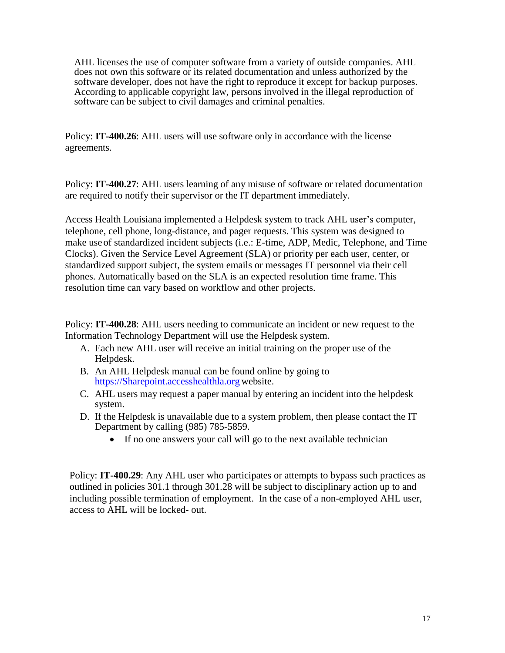AHL licenses the use of computer software from a variety of outside companies. AHL does not own this software or its related documentation and unless authorized by the software developer, does not have the right to reproduce it except for backup purposes. According to applicable copyright law, persons involved in the illegal reproduction of software can be subject to civil damages and criminal penalties.

Policy: **IT-400.26**: AHL users will use software only in accordance with the license agreements.

Policy: **IT-400.27**: AHL users learning of any misuse of software or related documentation are required to notify their supervisor or the IT department immediately.

Access Health Louisiana implemented a Helpdesk system to track AHL user's computer, telephone, cell phone, long-distance, and pager requests. This system was designed to make use of standardized incident subjects (i.e.: E-time, ADP, Medic, Telephone, and Time Clocks). Given the Service Level Agreement (SLA) or priority per each user, center, or standardized support subject, the system emails or messages IT personnel via their cell phones. Automatically based on the SLA is an expected resolution time frame. This resolution time can vary based on workflow and other projects.

Policy: **IT-400.28**: AHL users needing to communicate an incident or new request to the Information Technology Department will use the Helpdesk system.

- A. Each new AHL user will receive an initial training on the proper use of the Helpdesk.
- B. An AHL Helpdesk manual can be found online by going to [https://Sharepoint.accesshealthla.org](https://sharepoint.accesshealthla.org/) website.
- C. AHL users may request a paper manual by entering an incident into the helpdesk system.
- D. If the Helpdesk is unavailable due to a system problem, then please contact the IT Department by calling (985) 785-5859.
	- If no one answers your call will go to the next available technician

Policy: **IT-400.29**: Any AHL user who participates or attempts to bypass such practices as outlined in policies 301.1 through 301.28 will be subject to disciplinary action up to and including possible termination of employment. In the case of a non-employed AHL user, access to AHL will be locked- out.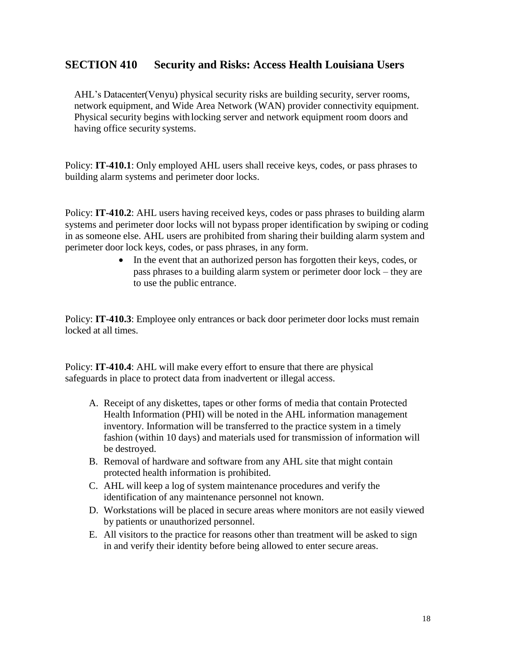#### **SECTION 410 Security and Risks: Access Health Louisiana Users**

AHL's Datacenter(Venyu) physical security risks are building security, server rooms, network equipment, and Wide Area Network (WAN) provider connectivity equipment. Physical security begins with locking server and network equipment room doors and having office security systems.

Policy: **IT-410.1**: Only employed AHL users shall receive keys, codes, or pass phrases to building alarm systems and perimeter door locks.

Policy: **IT-410.2**: AHL users having received keys, codes or pass phrases to building alarm systems and perimeter door locks will not bypass proper identification by swiping or coding in as someone else. AHL users are prohibited from sharing their building alarm system and perimeter door lock keys, codes, or pass phrases, in any form.

> • In the event that an authorized person has forgotten their keys, codes, or pass phrases to a building alarm system or perimeter door lock – they are to use the public entrance.

Policy: **IT-410.3**: Employee only entrances or back door perimeter door locks must remain locked at all times.

Policy: **IT-410.4**: AHL will make every effort to ensure that there are physical safeguards in place to protect data from inadvertent or illegal access.

- A. Receipt of any diskettes, tapes or other forms of media that contain Protected Health Information (PHI) will be noted in the AHL information management inventory. Information will be transferred to the practice system in a timely fashion (within 10 days) and materials used for transmission of information will be destroyed.
- B. Removal of hardware and software from any AHL site that might contain protected health information is prohibited.
- C. AHL will keep a log of system maintenance procedures and verify the identification of any maintenance personnel not known.
- D. Workstations will be placed in secure areas where monitors are not easily viewed by patients or unauthorized personnel.
- E. All visitors to the practice for reasons other than treatment will be asked to sign in and verify their identity before being allowed to enter secure areas.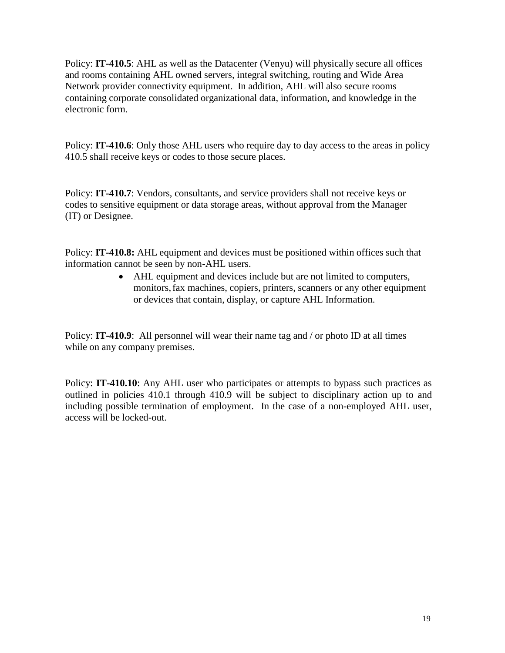Policy: **IT-410.5**: AHL as well as the Datacenter (Venyu) will physically secure all offices and rooms containing AHL owned servers, integral switching, routing and Wide Area Network provider connectivity equipment. In addition, AHL will also secure rooms containing corporate consolidated organizational data, information, and knowledge in the electronic form.

Policy: **IT-410.6**: Only those AHL users who require day to day access to the areas in policy 410.5 shall receive keys or codes to those secure places.

Policy: **IT-410.7**: Vendors, consultants, and service providers shall not receive keys or codes to sensitive equipment or data storage areas, without approval from the Manager (IT) or Designee.

Policy: **IT-410.8:** AHL equipment and devices must be positioned within offices such that information cannot be seen by non-AHL users.

> • AHL equipment and devices include but are not limited to computers, monitors,fax machines, copiers, printers, scanners or any other equipment or devices that contain, display, or capture AHL Information.

Policy: **IT-410.9**: All personnel will wear their name tag and / or photo ID at all times while on any company premises.

Policy: **IT-410.10**: Any AHL user who participates or attempts to bypass such practices as outlined in policies 410.1 through 410.9 will be subject to disciplinary action up to and including possible termination of employment. In the case of a non-employed AHL user, access will be locked-out.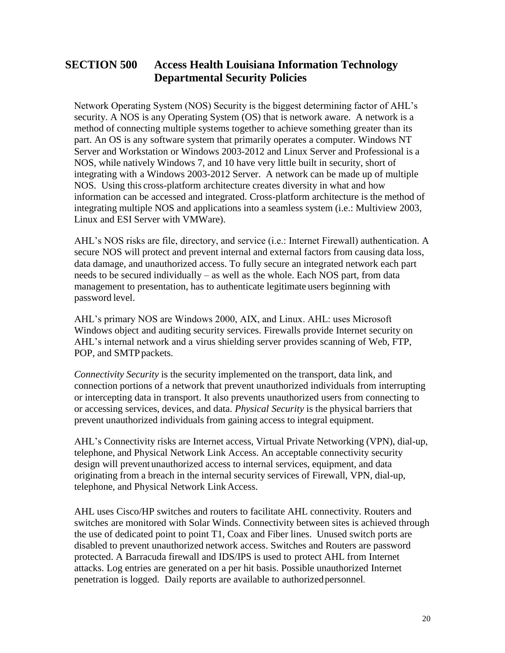## **SECTION 500 Access Health Louisiana Information Technology Departmental Security Policies**

Network Operating System (NOS) Security is the biggest determining factor of AHL's security. A NOS is any Operating System (OS) that is network aware. A network is a method of connecting multiple systems together to achieve something greater than its part. An OS is any software system that primarily operates a computer. Windows NT Server and Workstation or Windows 2003-2012 and Linux Server and Professional is a NOS, while natively Windows 7, and 10 have very little built in security, short of integrating with a Windows 2003-2012 Server. A network can be made up of multiple NOS. Using this cross-platform architecture creates diversity in what and how information can be accessed and integrated. Cross-platform architecture is the method of integrating multiple NOS and applications into a seamless system (i.e.: Multiview 2003, Linux and ESI Server with VMWare).

AHL's NOS risks are file, directory, and service (i.e.: Internet Firewall) authentication. A secure NOS will protect and prevent internal and external factors from causing data loss, data damage, and unauthorized access. To fully secure an integrated network each part needs to be secured individually – as well as the whole. Each NOS part, from data management to presentation, has to authenticate legitimate users beginning with password level.

AHL's primary NOS are Windows 2000, AIX, and Linux. AHL: uses Microsoft Windows object and auditing security services. Firewalls provide Internet security on AHL's internal network and a virus shielding server provides scanning of Web, FTP, POP, and SMTP packets.

*Connectivity Security* is the security implemented on the transport, data link, and connection portions of a network that prevent unauthorized individuals from interrupting or intercepting data in transport. It also prevents unauthorized users from connecting to or accessing services, devices, and data. *Physical Security* is the physical barriers that prevent unauthorized individuals from gaining access to integral equipment.

AHL's Connectivity risks are Internet access, Virtual Private Networking (VPN), dial-up, telephone, and Physical Network Link Access. An acceptable connectivity security design will preventunauthorized access to internal services, equipment, and data originating from a breach in the internal security services of Firewall, VPN, dial-up, telephone, and Physical Network Link Access.

AHL uses Cisco/HP switches and routers to facilitate AHL connectivity. Routers and switches are monitored with Solar Winds. Connectivity between sites is achieved through the use of dedicated point to point T1, Coax and Fiber lines. Unused switch ports are disabled to prevent unauthorized network access. Switches and Routers are password protected. A Barracuda firewall and IDS/IPS is used to protect AHL from Internet attacks. Log entries are generated on a per hit basis. Possible unauthorized Internet penetration is logged. Daily reports are available to authorizedpersonnel.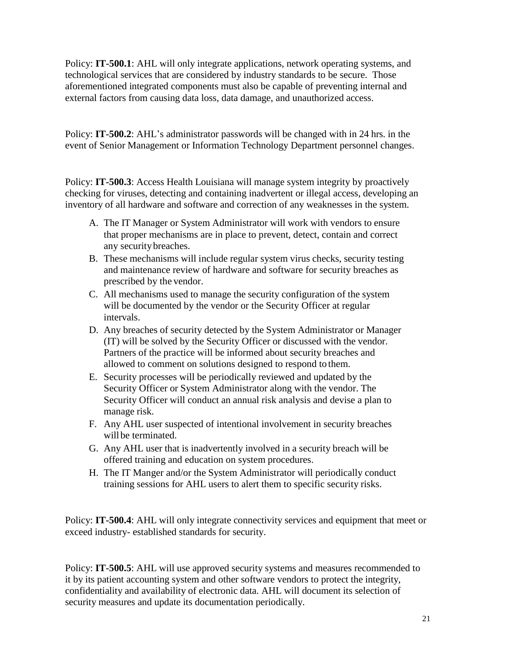Policy: **IT-500.1**: AHL will only integrate applications, network operating systems, and technological services that are considered by industry standards to be secure. Those aforementioned integrated components must also be capable of preventing internal and external factors from causing data loss, data damage, and unauthorized access.

Policy: **IT-500.2**: AHL's administrator passwords will be changed with in 24 hrs. in the event of Senior Management or Information Technology Department personnel changes.

Policy: **IT-500.3**: Access Health Louisiana will manage system integrity by proactively checking for viruses, detecting and containing inadvertent or illegal access, developing an inventory of all hardware and software and correction of any weaknesses in the system.

- A. The IT Manager or System Administrator will work with vendors to ensure that proper mechanisms are in place to prevent, detect, contain and correct any securitybreaches.
- B. These mechanisms will include regular system virus checks, security testing and maintenance review of hardware and software for security breaches as prescribed by the vendor.
- C. All mechanisms used to manage the security configuration of the system will be documented by the vendor or the Security Officer at regular intervals.
- D. Any breaches of security detected by the System Administrator or Manager (IT) will be solved by the Security Officer or discussed with the vendor. Partners of the practice will be informed about security breaches and allowed to comment on solutions designed to respond to them.
- E. Security processes will be periodically reviewed and updated by the Security Officer or System Administrator along with the vendor. The Security Officer will conduct an annual risk analysis and devise a plan to manage risk.
- F. Any AHL user suspected of intentional involvement in security breaches will be terminated.
- G. Any AHL user that is inadvertently involved in a security breach will be offered training and education on system procedures.
- H. The IT Manger and/or the System Administrator will periodically conduct training sessions for AHL users to alert them to specific security risks.

Policy: **IT-500.4**: AHL will only integrate connectivity services and equipment that meet or exceed industry- established standards for security.

Policy: **IT-500.5**: AHL will use approved security systems and measures recommended to it by its patient accounting system and other software vendors to protect the integrity, confidentiality and availability of electronic data. AHL will document its selection of security measures and update its documentation periodically.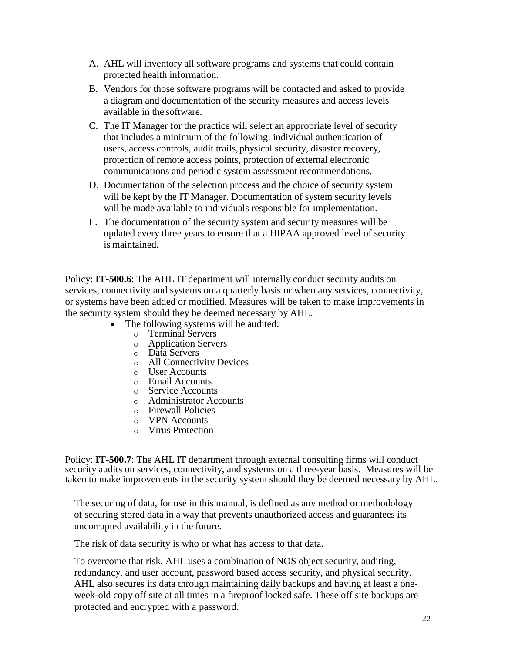- A. AHL will inventory all software programs and systems that could contain protected health information.
- B. Vendors for those software programs will be contacted and asked to provide a diagram and documentation of the security measures and access levels available in the software.
- C. The IT Manager for the practice will select an appropriate level of security that includes a minimum of the following: individual authentication of users, access controls, audit trails, physical security, disaster recovery, protection of remote access points, protection of external electronic communications and periodic system assessment recommendations.
- D. Documentation of the selection process and the choice of security system will be kept by the IT Manager. Documentation of system security levels will be made available to individuals responsible for implementation.
- E. The documentation of the security system and security measures will be updated every three years to ensure that a HIPAA approved level of security is maintained.

Policy: **IT-500.6**: The AHL IT department will internally conduct security audits on services, connectivity and systems on a quarterly basis or when any services, connectivity, or systems have been added or modified. Measures will be taken to make improvements in the security system should they be deemed necessary by AHL.

- The following systems will be audited:
	- o Terminal Servers
	- o Application Servers
	- o Data Servers
	- o All Connectivity Devices
	- o User Accounts
	- o Email Accounts
	- o Service Accounts
	- o Administrator Accounts
	- o Firewall Policies
	- o VPN Accounts
	- o Virus Protection

Policy: **IT-500.7**: The AHL IT department through external consulting firms will conduct security audits on services, connectivity, and systems on a three-year basis. Measures will be taken to make improvements in the security system should they be deemed necessary by AHL.

The securing of data, for use in this manual, is defined as any method or methodology of securing stored data in a way that prevents unauthorized access and guarantees its uncorrupted availability in the future.

The risk of data security is who or what has access to that data.

To overcome that risk, AHL uses a combination of NOS object security, auditing, redundancy, and user account, password based access security, and physical security. AHL also secures its data through maintaining daily backups and having at least a oneweek-old copy off site at all times in a fireproof locked safe. These off site backups are protected and encrypted with a password.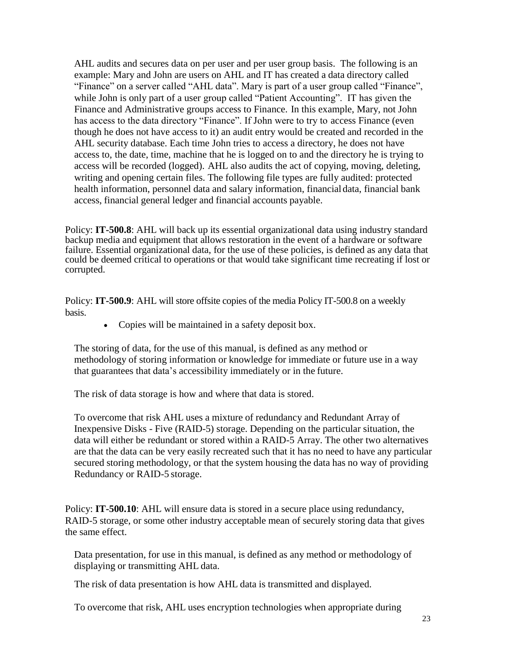AHL audits and secures data on per user and per user group basis. The following is an example: Mary and John are users on AHL and IT has created a data directory called "Finance" on a server called "AHL data". Mary is part of a user group called "Finance", while John is only part of a user group called "Patient Accounting". IT has given the Finance and Administrative groups access to Finance. In this example, Mary, not John has access to the data directory "Finance". If John were to try to access Finance (even though he does not have access to it) an audit entry would be created and recorded in the AHL security database. Each time John tries to access a directory, he does not have access to, the date, time, machine that he is logged on to and the directory he is trying to access will be recorded (logged). AHL also audits the act of copying, moving, deleting, writing and opening certain files. The following file types are fully audited: protected health information, personnel data and salary information, financial data, financial bank access, financial general ledger and financial accounts payable.

Policy: **IT-500.8**: AHL will back up its essential organizational data using industry standard backup media and equipment that allows restoration in the event of a hardware or software failure. Essential organizational data, for the use of these policies, is defined as any data that could be deemed critical to operations or that would take significant time recreating if lost or corrupted.

Policy: **IT-500.9**: AHL will store offsite copies of the media Policy IT-500.8 on a weekly basis.

• Copies will be maintained in a safety deposit box.

The storing of data, for the use of this manual, is defined as any method or methodology of storing information or knowledge for immediate or future use in a way that guarantees that data's accessibility immediately or in the future.

The risk of data storage is how and where that data is stored.

To overcome that risk AHL uses a mixture of redundancy and Redundant Array of Inexpensive Disks - Five (RAID-5) storage. Depending on the particular situation, the data will either be redundant or stored within a RAID-5 Array. The other two alternatives are that the data can be very easily recreated such that it has no need to have any particular secured storing methodology, or that the system housing the data has no way of providing Redundancy or RAID-5 storage.

Policy: **IT-500.10**: AHL will ensure data is stored in a secure place using redundancy, RAID-5 storage, or some other industry acceptable mean of securely storing data that gives the same effect.

Data presentation, for use in this manual, is defined as any method or methodology of displaying or transmitting AHL data.

The risk of data presentation is how AHL data is transmitted and displayed.

To overcome that risk, AHL uses encryption technologies when appropriate during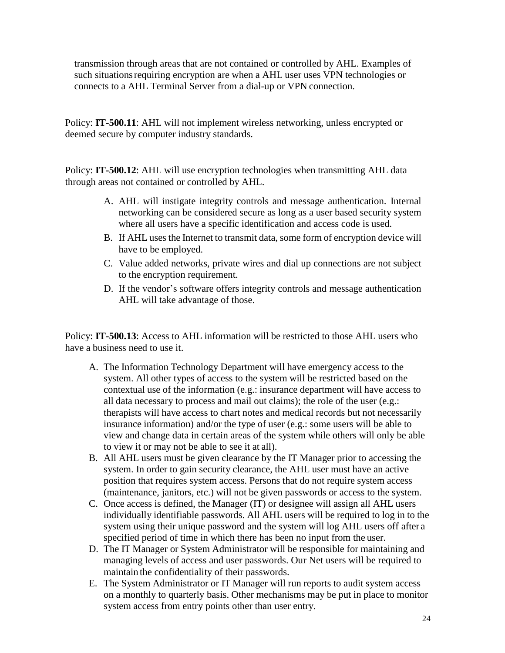transmission through areas that are not contained or controlled by AHL. Examples of such situations requiring encryption are when a AHL user uses VPN technologies or connects to a AHL Terminal Server from a dial-up or VPN connection.

Policy: **IT-500.11**: AHL will not implement wireless networking, unless encrypted or deemed secure by computer industry standards.

Policy: **IT-500.12**: AHL will use encryption technologies when transmitting AHL data through areas not contained or controlled by AHL.

- A. AHL will instigate integrity controls and message authentication. Internal networking can be considered secure as long as a user based security system where all users have a specific identification and access code is used.
- B. If AHL uses the Internet to transmit data, some form of encryption device will have to be employed.
- C. Value added networks, private wires and dial up connections are not subject to the encryption requirement.
- D. If the vendor's software offers integrity controls and message authentication AHL will take advantage of those.

Policy: **IT-500.13**: Access to AHL information will be restricted to those AHL users who have a business need to use it.

- A. The Information Technology Department will have emergency access to the system. All other types of access to the system will be restricted based on the contextual use of the information (e.g.: insurance department will have access to all data necessary to process and mail out claims); the role of the user (e.g.: therapists will have access to chart notes and medical records but not necessarily insurance information) and/or the type of user (e.g.: some users will be able to view and change data in certain areas of the system while others will only be able to view it or may not be able to see it at all).
- B. All AHL users must be given clearance by the IT Manager prior to accessing the system. In order to gain security clearance, the AHL user must have an active position that requires system access. Persons that do not require system access (maintenance, janitors, etc.) will not be given passwords or access to the system.
- C. Once access is defined, the Manager (IT) or designee will assign all AHL users individually identifiable passwords. All AHL users will be required to log in to the system using their unique password and the system will log AHL users off after a specified period of time in which there has been no input from the user.
- D. The IT Manager or System Administrator will be responsible for maintaining and managing levels of access and user passwords. Our Net users will be required to maintain the confidentiality of their passwords.
- E. The System Administrator or IT Manager will run reports to audit system access on a monthly to quarterly basis. Other mechanisms may be put in place to monitor system access from entry points other than user entry.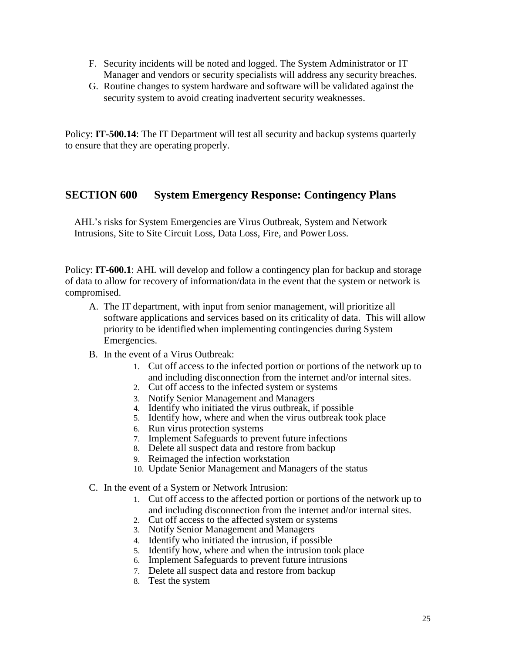- F. Security incidents will be noted and logged. The System Administrator or IT Manager and vendors or security specialists will address any security breaches.
- G. Routine changes to system hardware and software will be validated against the security system to avoid creating inadvertent security weaknesses.

Policy: **IT-500.14**: The IT Department will test all security and backup systems quarterly to ensure that they are operating properly.

#### **SECTION 600 System Emergency Response: Contingency Plans**

AHL's risks for System Emergencies are Virus Outbreak, System and Network Intrusions, Site to Site Circuit Loss, Data Loss, Fire, and Power Loss.

Policy: **IT-600.1**: AHL will develop and follow a contingency plan for backup and storage of data to allow for recovery of information/data in the event that the system or network is compromised.

- A. The IT department, with input from senior management, will prioritize all software applications and services based on its criticality of data. This will allow priority to be identified when implementing contingencies during System Emergencies.
- B. In the event of a Virus Outbreak:
	- 1. Cut off access to the infected portion or portions of the network up to and including disconnection from the internet and/or internal sites.
	- 2. Cut off access to the infected system or systems
	- 3. Notify Senior Management and Managers
	- 4. Identify who initiated the virus outbreak, if possible
	- 5. Identify how, where and when the virus outbreak took place
	- 6. Run virus protection systems
	- 7. Implement Safeguards to prevent future infections
	- 8. Delete all suspect data and restore from backup
	- 9. Reimaged the infection workstation
	- 10. Update Senior Management and Managers of the status
- C. In the event of a System or Network Intrusion:
	- 1. Cut off access to the affected portion or portions of the network up to and including disconnection from the internet and/or internal sites.
	- 2. Cut off access to the affected system or systems
	- 3. Notify Senior Management and Managers
	- 4. Identify who initiated the intrusion, if possible
	- 5. Identify how, where and when the intrusion took place
	- 6. Implement Safeguards to prevent future intrusions
	- 7. Delete all suspect data and restore from backup
	- 8. Test the system